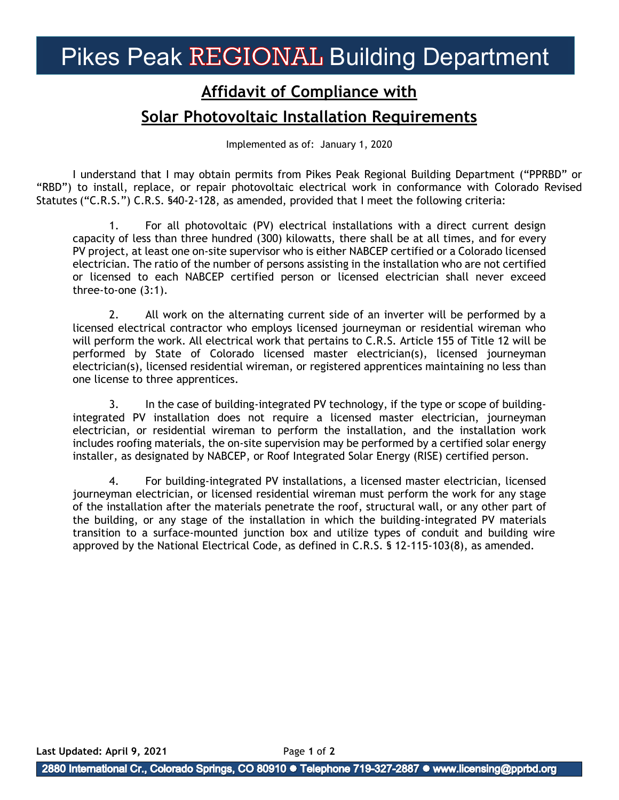## Pikes Peak REGIONAL Building Department

## **Affidavit of Compliance with Solar Photovoltaic Installation Requirements**

Implemented as of: January 1, 2020

I understand that I may obtain permits from Pikes Peak Regional Building Department ("PPRBD" or "RBD") to install, replace, or repair photovoltaic electrical work in conformance with Colorado Revised Statutes ("C.R.S.") C.R.S. §40-2-128, as amended, provided that I meet the following criteria:

1. For all photovoltaic (PV) electrical installations with a direct current design capacity of less than three hundred (300) kilowatts, there shall be at all times, and for every PV project, at least one on-site supervisor who is either NABCEP certified or a Colorado licensed electrician. The ratio of the number of persons assisting in the installation who are not certified or licensed to each NABCEP certified person or licensed electrician shall never exceed three-to-one (3:1).

2. All work on the alternating current side of an inverter will be performed by a licensed electrical contractor who employs licensed journeyman or residential wireman who will perform the work. All electrical work that pertains to C.R.S. Article 155 of Title 12 will be performed by State of Colorado licensed master electrician(s), licensed journeyman electrician(s), licensed residential wireman, or registered apprentices maintaining no less than one license to three apprentices.

3. In the case of building-integrated PV technology, if the type or scope of buildingintegrated PV installation does not require a licensed master electrician, journeyman electrician, or residential wireman to perform the installation, and the installation work includes roofing materials, the on-site supervision may be performed by a certified solar energy installer, as designated by NABCEP, or Roof Integrated Solar Energy (RISE) certified person.

4. For building-integrated PV installations, a licensed master electrician, licensed journeyman electrician, or licensed residential wireman must perform the work for any stage of the installation after the materials penetrate the roof, structural wall, or any other part of the building, or any stage of the installation in which the building-integrated PV materials transition to a surface-mounted junction box and utilize types of conduit and building wire approved by the National Electrical Code, as defined in C.R.S. § 12-115-103(8), as amended.